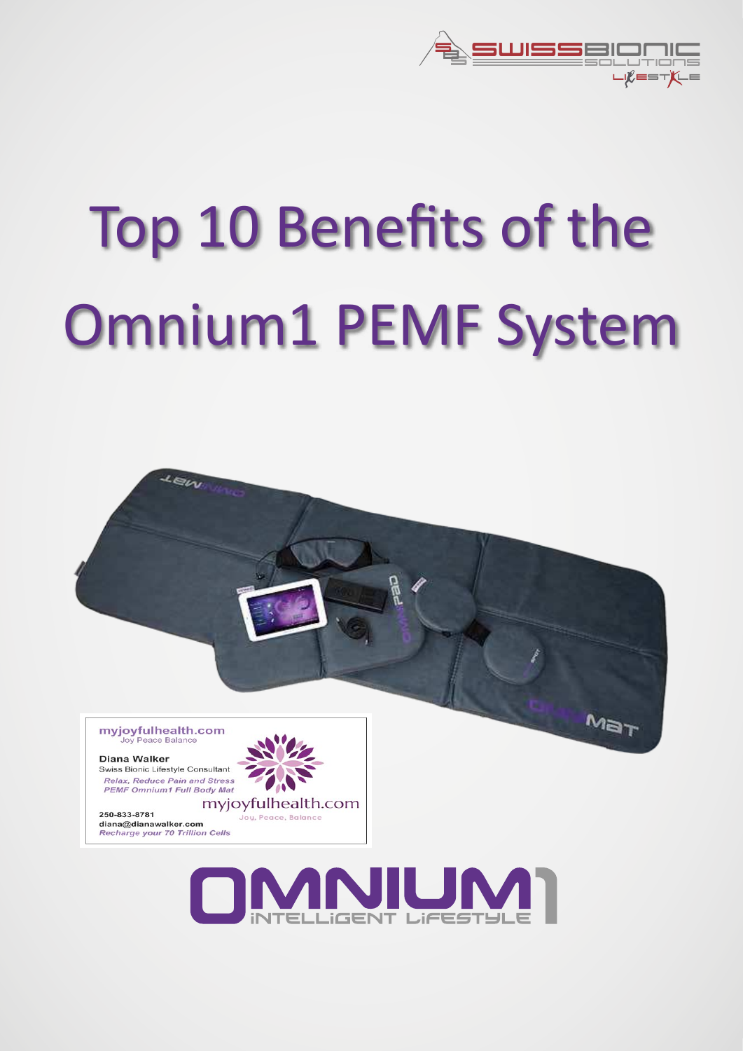

# Top 10 Benefits of the Omnium1 PEMF System

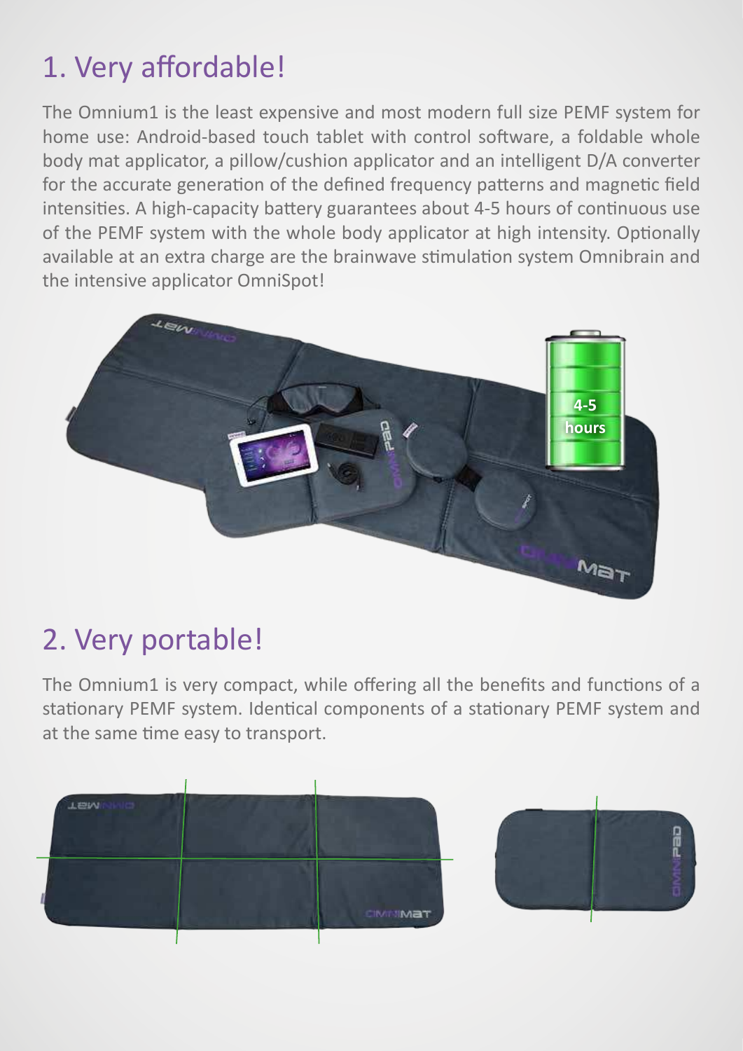# 1. Very affordable!

The Omnium1 is the least expensive and most modern full size PEMF system for home use: Android-based touch tablet with control software, a foldable whole body mat applicator, a pillow/cushion applicator and an intelligent D/A converter for the accurate generation of the defined frequency patterns and magnetic field intensities. A high-capacity battery guarantees about 4-5 hours of continuous use of the PEMF system with the whole body applicator at high intensity. Opionally available at an extra charge are the brainwave stimulation system Omnibrain and the intensive applicator OmniSpot!



#### 2. Very portable!

The Omnium1 is very compact, while offering all the benefits and functions of a stationary PEMF system. Identical components of a stationary PEMF system and at the same time easy to transport.

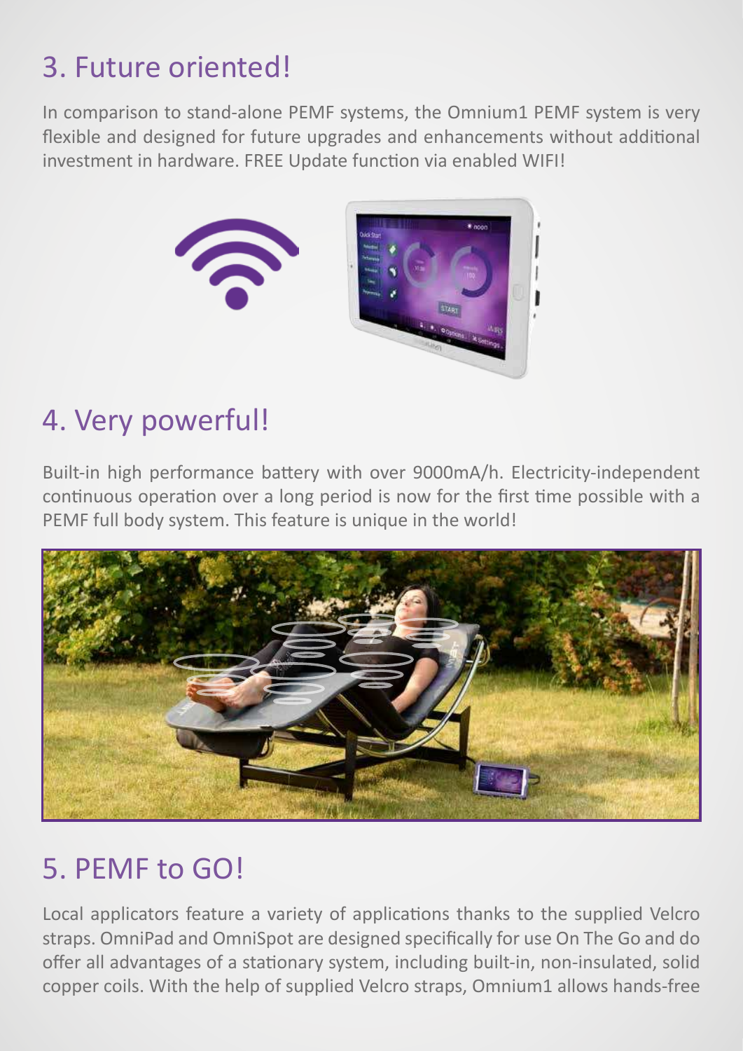# 3. Future oriented!

In comparison to stand-alone PEMF systems, the Omnium1 PEMF system is very flexible and designed for future upgrades and enhancements without additional investment in hardware. FREE Update function via enabled WIFI!



### 4. Very powerful!

Built-in high performance batery with over 9000mA/h. Electricity-independent continuous operation over a long period is now for the first time possible with a PEMF full body system. This feature is unique in the world!



## 5. PEMF to GO!

Local applicators feature a variety of applications thanks to the supplied Velcro straps. OmniPad and OmniSpot are designed specifically for use On The Go and do offer all advantages of a stationary system, including built-in, non-insulated, solid copper coils. With the help of supplied Velcro straps, Omnium1 allows hands-free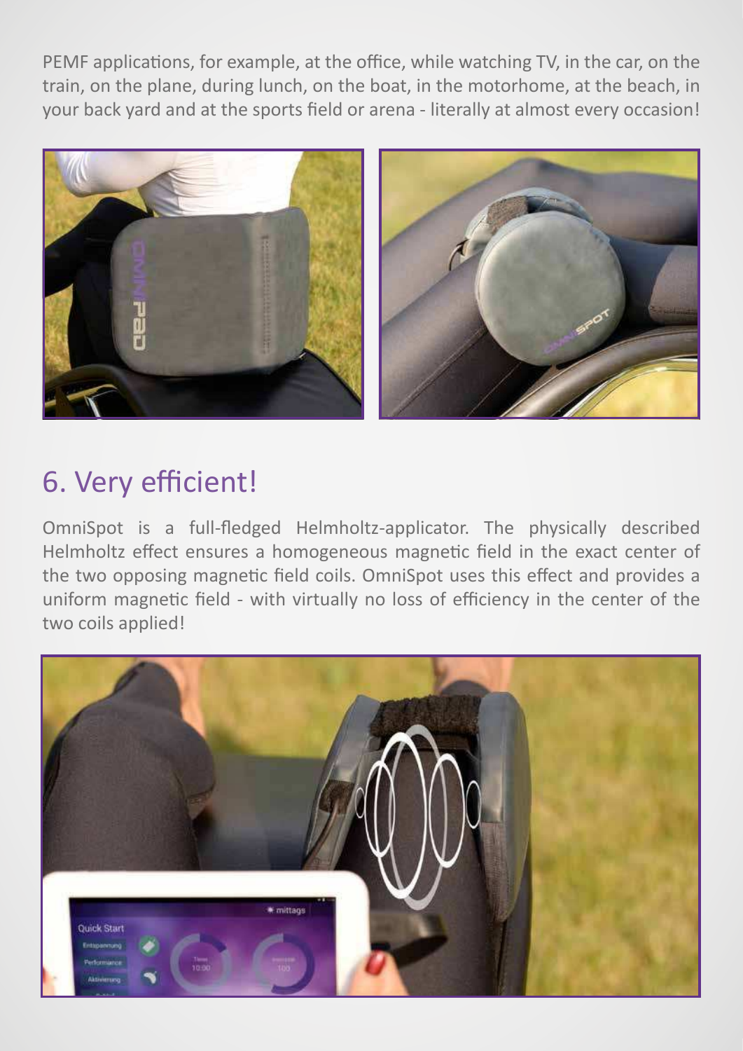PEMF applications, for example, at the office, while watching TV, in the car, on the train, on the plane, during lunch, on the boat, in the motorhome, at the beach, in your back yard and at the sports field or arena - literally at almost every occasion!



#### 6. Very efficient!

OmniSpot is a full-fledged Helmholtz-applicator. The physically described Helmholtz effect ensures a homogeneous magnetic field in the exact center of the two opposing magnetic field coils. OmniSpot uses this effect and provides a uniform magnetic field - with virtually no loss of efficiency in the center of the two coils applied!

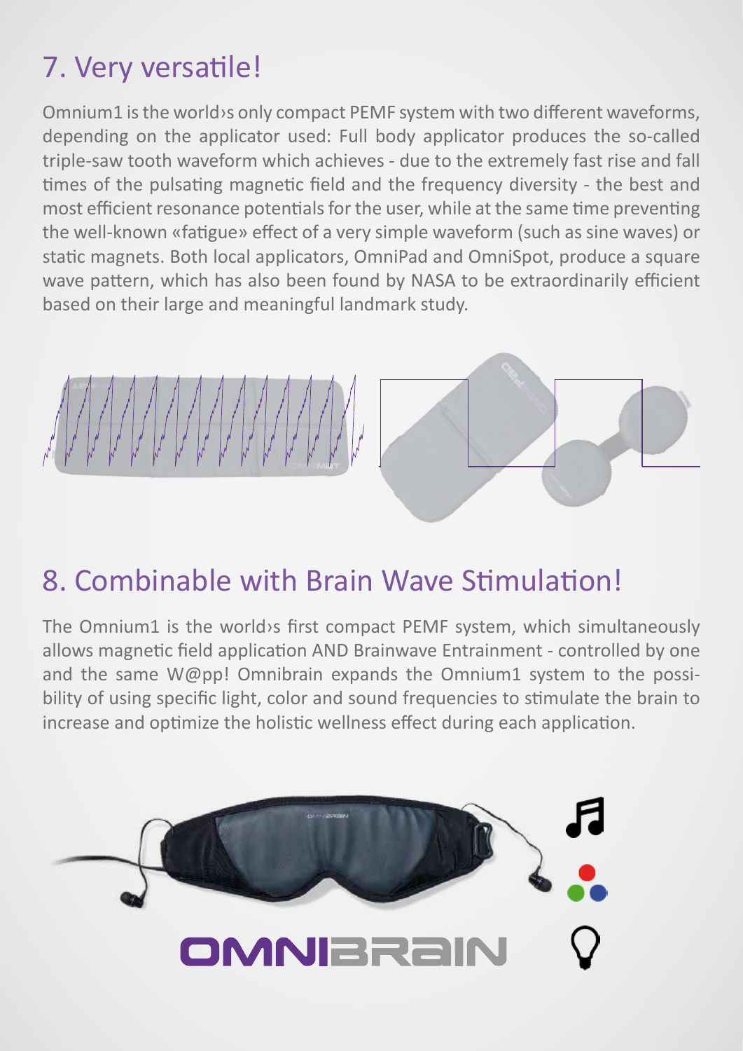# 7. Very versatile!

Omnium1 is the world›s only compact PEMF system with two diferent waveforms, depending on the applicator used: Full body applicator produces the so-called triple-saw tooth waveform which achieves - due to the extremely fast rise and fall times of the pulsating magnetic field and the frequency diversity - the best and most efficient resonance potentials for the user, while at the same time preventing the well-known «fatigue» effect of a very simple waveform (such as sine waves) or static magnets. Both local applicators, OmniPad and OmniSpot, produce a square wave pattern, which has also been found by NASA to be extraordinarily efficient based on their large and meaningful landmark study.



#### 8. Combinable with Brain Wave Stimulation!

The Omnium1 is the world>s first compact PEMF system, which simultaneously allows magnetic field application AND Brainwave Entrainment - controlled by one and the same W@pp! Omnibrain expands the Omnium1 system to the possibility of using specific light, color and sound frequencies to stimulate the brain to increase and optimize the holistic wellness effect during each application.

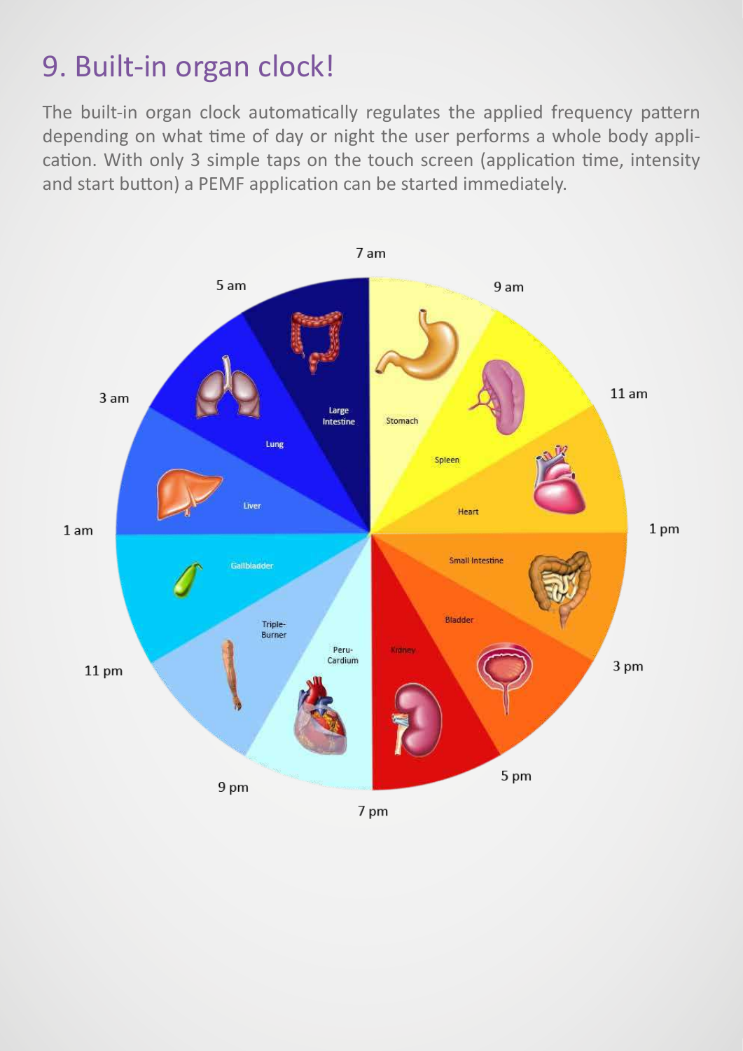## 9. Built-in organ clock!

The built-in organ clock automatically regulates the applied frequency pattern depending on what time of day or night the user performs a whole body application. With only 3 simple taps on the touch screen (application time, intensity and start button) a PEMF application can be started immediately.



7 pm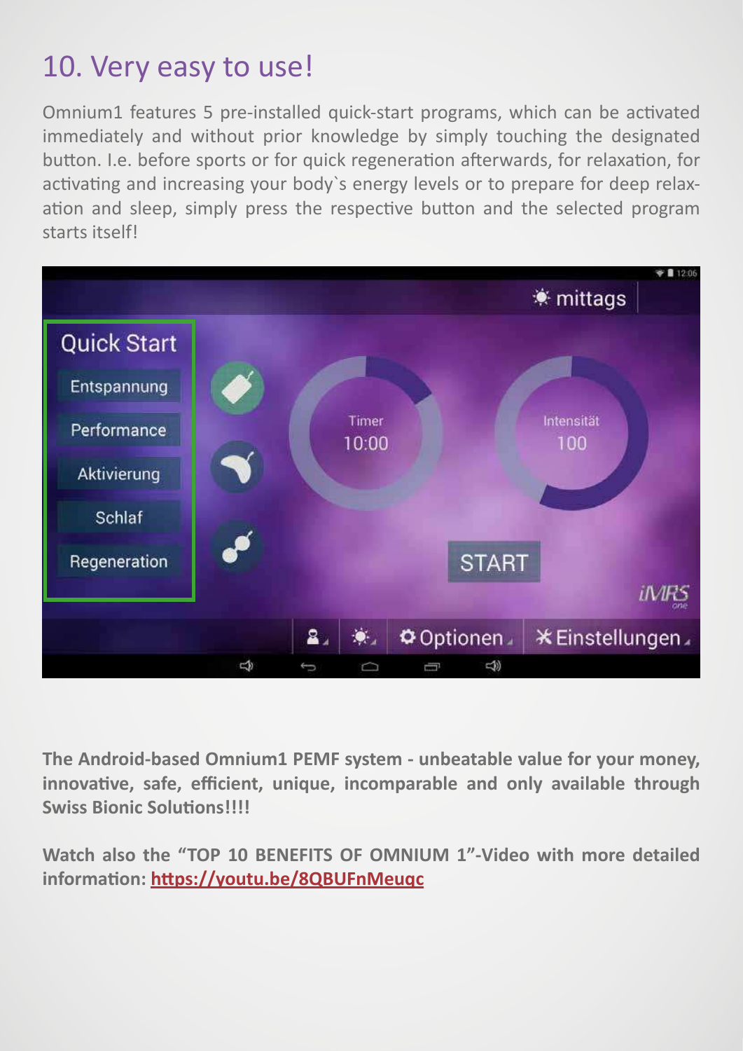## 10. Very easy to use!

Omnium1 features 5 pre-installed quick-start programs, which can be acivated immediately and without prior knowledge by simply touching the designated button. I.e. before sports or for quick regeneration afterwards, for relaxation, for activating and increasing your body's energy levels or to prepare for deep relaxation and sleep, simply press the respective button and the selected program starts itself!



**The Android-based Omnium1 PEMF system - unbeatable value for your money,**  innovative, safe, efficient, unique, incomparable and only available through **Swiss Bionic Solutions!!!!** 

**Watch also the "TOP 10 BENEFITS OF OMNIUM 1"-Video with more detailed informaion: [htps://youtu.be/8QBUFnMeuqc](�� h t t p s : / / y o u t u . b e / 8 Q B U F n M e u q c)**